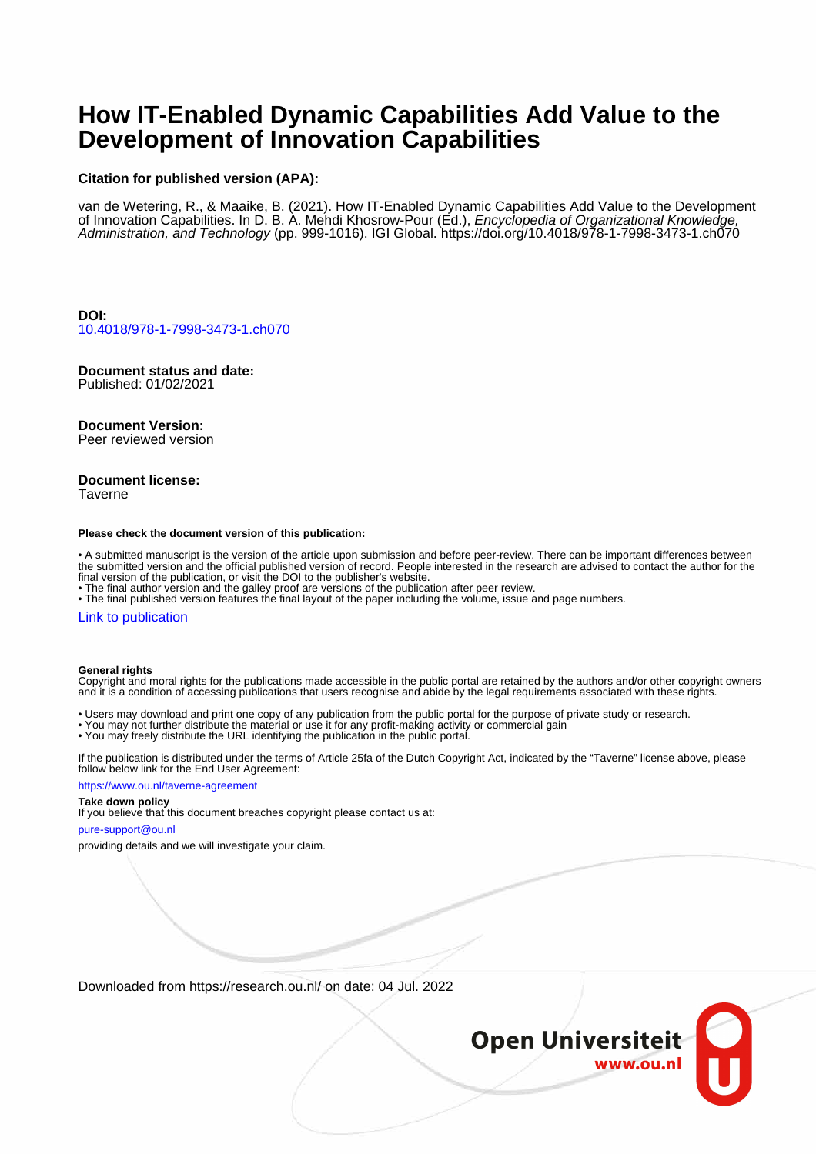# **How IT-Enabled Dynamic Capabilities Add Value to the Development of Innovation Capabilities**

#### **Citation for published version (APA):**

van de Wetering, R., & Maaike, B. (2021). How IT-Enabled Dynamic Capabilities Add Value to the Development of Innovation Capabilities. In D. B. A. Mehdi Khosrow-Pour (Ed.), Encyclopedia of Organizational Knowledge, Administration, and Technology (pp. 999-1016). IGI Global. <https://doi.org/10.4018/978-1-7998-3473-1.ch070>

**DOI:** [10.4018/978-1-7998-3473-1.ch070](https://doi.org/10.4018/978-1-7998-3473-1.ch070)

# **Document status and date:**

Published: 01/02/2021

#### **Document Version:**

Peer reviewed version

### **Document license:**

Taverne

#### **Please check the document version of this publication:**

• A submitted manuscript is the version of the article upon submission and before peer-review. There can be important differences between the submitted version and the official published version of record. People interested in the research are advised to contact the author for the final version of the publication, or visit the DOI to the publisher's website.

• The final author version and the galley proof are versions of the publication after peer review.

• The final published version features the final layout of the paper including the volume, issue and page numbers.

#### [Link to publication](https://research.ou.nl/en/publications/36265b0a-0419-4fab-9a99-bd938ee02554)

#### **General rights**

Copyright and moral rights for the publications made accessible in the public portal are retained by the authors and/or other copyright owners and it is a condition of accessing publications that users recognise and abide by the legal requirements associated with these rights.

- Users may download and print one copy of any publication from the public portal for the purpose of private study or research.
- You may not further distribute the material or use it for any profit-making activity or commercial gain
- You may freely distribute the URL identifying the publication in the public portal.

If the publication is distributed under the terms of Article 25fa of the Dutch Copyright Act, indicated by the "Taverne" license above, please follow below link for the End User Agreement:

#### https://www.ou.nl/taverne-agreement

## **Take down policy**

If you believe that this document breaches copyright please contact us at:

#### pure-support@ou.nl

providing details and we will investigate your claim.

Downloaded from https://research.ou.nl/ on date: 04 Jul. 2022

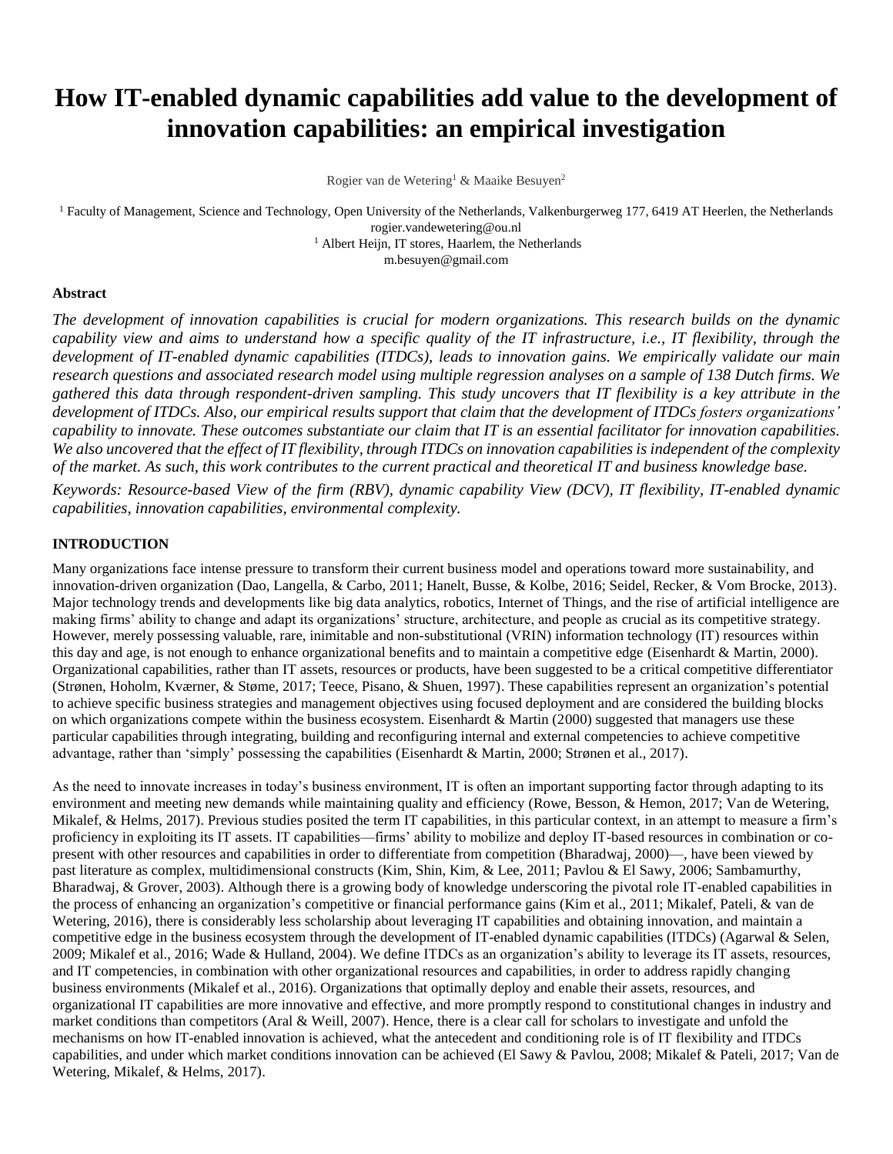# **How IT-enabled dynamic capabilities add value to the development of innovation capabilities: an empirical investigation**

Rogier van de Wetering<sup>1</sup> & Maaike Besuyen<sup>2</sup>

<sup>1</sup> Faculty of Management, Science and Technology, Open University of the Netherlands, Valkenburgerweg 177, 6419 AT Heerlen, the Netherlands rogier.vandewetering@ou.nl <sup>1</sup> Albert Heijn, IT stores, Haarlem, the Netherlands

m.besuyen@gmail.com

#### **Abstract**

*The development of innovation capabilities is crucial for modern organizations. This research builds on the dynamic capability view and aims to understand how a specific quality of the IT infrastructure, i.e., IT flexibility, through the development of IT-enabled dynamic capabilities (ITDCs), leads to innovation gains. We empirically validate our main research questions and associated research model using multiple regression analyses on a sample of 138 Dutch firms. We gathered this data through respondent-driven sampling. This study uncovers that IT flexibility is a key attribute in the development of ITDCs. Also, our empirical results support that claim that the development of ITDCs fosters organizations' capability to innovate. These outcomes substantiate our claim that IT is an essential facilitator for innovation capabilities. We also uncovered that the effect of IT flexibility, through ITDCs on innovation capabilities is independent of the complexity of the market. As such, this work contributes to the current practical and theoretical IT and business knowledge base.*

*Keywords: Resource-based View of the firm (RBV), dynamic capability View (DCV), IT flexibility, IT-enabled dynamic capabilities, innovation capabilities, environmental complexity.*

#### **INTRODUCTION**

Many organizations face intense pressure to transform their current business model and operations toward more sustainability, and innovation-driven organization (Dao, Langella, & Carbo, 2011; Hanelt, Busse, & Kolbe, 2016; Seidel, Recker, & Vom Brocke, 2013). Major technology trends and developments like big data analytics, robotics, Internet of Things, and the rise of artificial intelligence are making firms' ability to change and adapt its organizations' structure, architecture, and people as crucial as its competitive strategy. However, merely possessing valuable, rare, inimitable and non-substitutional (VRIN) information technology (IT) resources within this day and age, is not enough to enhance organizational benefits and to maintain a competitive edge (Eisenhardt & Martin, 2000). Organizational capabilities, rather than IT assets, resources or products, have been suggested to be a critical competitive differentiator (Strønen, Hoholm, Kværner, & Støme, 2017; Teece, Pisano, & Shuen, 1997). These capabilities represent an organization's potential to achieve specific business strategies and management objectives using focused deployment and are considered the building blocks on which organizations compete within the business ecosystem. Eisenhardt & Martin (2000) suggested that managers use these particular capabilities through integrating, building and reconfiguring internal and external competencies to achieve competitive advantage, rather than 'simply' possessing the capabilities (Eisenhardt & Martin, 2000; Strønen et al., 2017).

As the need to innovate increases in today's business environment, IT is often an important supporting factor through adapting to its environment and meeting new demands while maintaining quality and efficiency (Rowe, Besson, & Hemon, 2017; Van de Wetering, Mikalef, & Helms, 2017). Previous studies posited the term IT capabilities, in this particular context, in an attempt to measure a firm's proficiency in exploiting its IT assets. IT capabilities—firms' ability to mobilize and deploy IT-based resources in combination or copresent with other resources and capabilities in order to differentiate from competition (Bharadwaj, 2000)—, have been viewed by past literature as complex, multidimensional constructs (Kim, Shin, Kim, & Lee, 2011; Pavlou & El Sawy, 2006; Sambamurthy, Bharadwaj, & Grover, 2003). Although there is a growing body of knowledge underscoring the pivotal role IT-enabled capabilities in the process of enhancing an organization's competitive or financial performance gains (Kim et al., 2011; Mikalef, Pateli, & van de Wetering, 2016), there is considerably less scholarship about leveraging IT capabilities and obtaining innovation, and maintain a competitive edge in the business ecosystem through the development of IT-enabled dynamic capabilities (ITDCs) (Agarwal & Selen, 2009; Mikalef et al., 2016; Wade & Hulland, 2004). We define ITDCs as an organization's ability to leverage its IT assets, resources, and IT competencies, in combination with other organizational resources and capabilities, in order to address rapidly changing business environments (Mikalef et al., 2016). Organizations that optimally deploy and enable their assets, resources, and organizational IT capabilities are more innovative and effective, and more promptly respond to constitutional changes in industry and market conditions than competitors (Aral  $&$  Weill, 2007). Hence, there is a clear call for scholars to investigate and unfold the mechanisms on how IT-enabled innovation is achieved, what the antecedent and conditioning role is of IT flexibility and ITDCs capabilities, and under which market conditions innovation can be achieved (El Sawy & Pavlou, 2008; Mikalef & Pateli, 2017; Van de Wetering, Mikalef, & Helms, 2017).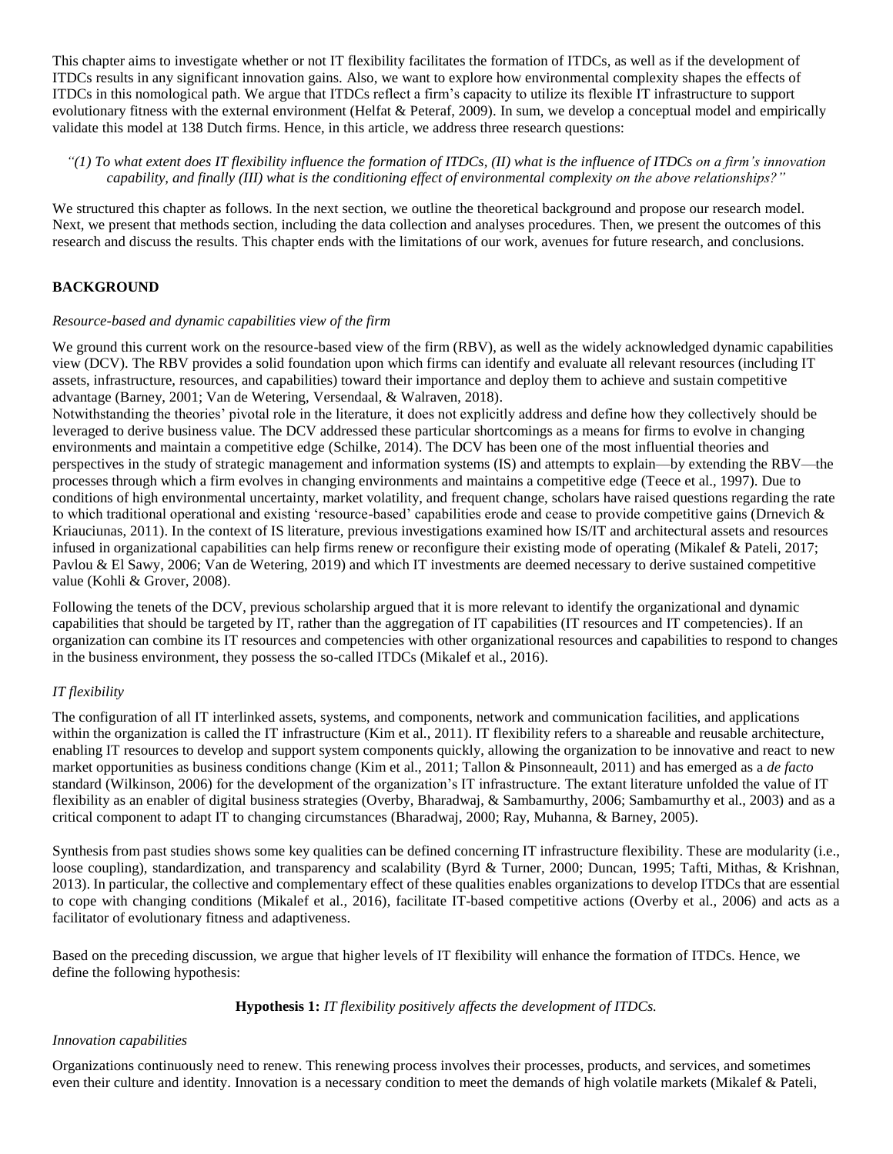This chapter aims to investigate whether or not IT flexibility facilitates the formation of ITDCs, as well as if the development of ITDCs results in any significant innovation gains. Also, we want to explore how environmental complexity shapes the effects of ITDCs in this nomological path. We argue that ITDCs reflect a firm's capacity to utilize its flexible IT infrastructure to support evolutionary fitness with the external environment (Helfat & Peteraf, 2009). In sum, we develop a conceptual model and empirically validate this model at 138 Dutch firms. Hence, in this article, we address three research questions:

### *"(1) To what extent does IT flexibility influence the formation of ITDCs, (II) what is the influence of ITDCs on a firm's innovation capability, and finally (III) what is the conditioning effect of environmental complexity on the above relationships?"*

We structured this chapter as follows. In the next section, we outline the theoretical background and propose our research model. Next, we present that methods section, including the data collection and analyses procedures. Then, we present the outcomes of this research and discuss the results. This chapter ends with the limitations of our work, avenues for future research, and conclusions.

## **BACKGROUND**

#### *Resource-based and dynamic capabilities view of the firm*

We ground this current work on the resource-based view of the firm (RBV), as well as the widely acknowledged dynamic capabilities view (DCV). The RBV provides a solid foundation upon which firms can identify and evaluate all relevant resources (including IT assets, infrastructure, resources, and capabilities) toward their importance and deploy them to achieve and sustain competitive advantage (Barney, 2001; Van de Wetering, Versendaal, & Walraven, 2018).

Notwithstanding the theories' pivotal role in the literature, it does not explicitly address and define how they collectively should be leveraged to derive business value. The DCV addressed these particular shortcomings as a means for firms to evolve in changing environments and maintain a competitive edge (Schilke, 2014). The DCV has been one of the most influential theories and perspectives in the study of strategic management and information systems (IS) and attempts to explain—by extending the RBV—the processes through which a firm evolves in changing environments and maintains a competitive edge (Teece et al., 1997). Due to conditions of high environmental uncertainty, market volatility, and frequent change, scholars have raised questions regarding the rate to which traditional operational and existing 'resource-based' capabilities erode and cease to provide competitive gains (Drnevich & Kriauciunas, 2011). In the context of IS literature, previous investigations examined how IS/IT and architectural assets and resources infused in organizational capabilities can help firms renew or reconfigure their existing mode of operating (Mikalef & Pateli, 2017; Pavlou & El Sawy, 2006; Van de Wetering, 2019) and which IT investments are deemed necessary to derive sustained competitive value (Kohli & Grover, 2008).

Following the tenets of the DCV, previous scholarship argued that it is more relevant to identify the organizational and dynamic capabilities that should be targeted by IT, rather than the aggregation of IT capabilities (IT resources and IT competencies). If an organization can combine its IT resources and competencies with other organizational resources and capabilities to respond to changes in the business environment, they possess the so-called ITDCs (Mikalef et al., 2016).

## *IT flexibility*

The configuration of all IT interlinked assets, systems, and components, network and communication facilities, and applications within the organization is called the IT infrastructure (Kim et al., 2011). IT flexibility refers to a shareable and reusable architecture, enabling IT resources to develop and support system components quickly, allowing the organization to be innovative and react to new market opportunities as business conditions change (Kim et al., 2011; Tallon & Pinsonneault, 2011) and has emerged as a *de facto* standard (Wilkinson, 2006) for the development of the organization's IT infrastructure. The extant literature unfolded the value of IT flexibility as an enabler of digital business strategies (Overby, Bharadwaj, & Sambamurthy, 2006; Sambamurthy et al., 2003) and as a critical component to adapt IT to changing circumstances (Bharadwaj, 2000; Ray, Muhanna, & Barney, 2005).

Synthesis from past studies shows some key qualities can be defined concerning IT infrastructure flexibility. These are modularity (i.e., loose coupling), standardization, and transparency and scalability (Byrd & Turner, 2000; Duncan, 1995; Tafti, Mithas, & Krishnan, 2013). In particular, the collective and complementary effect of these qualities enables organizations to develop ITDCs that are essential to cope with changing conditions (Mikalef et al., 2016), facilitate IT-based competitive actions (Overby et al., 2006) and acts as a facilitator of evolutionary fitness and adaptiveness.

Based on the preceding discussion, we argue that higher levels of IT flexibility will enhance the formation of ITDCs. Hence, we define the following hypothesis:

**Hypothesis 1:** *IT flexibility positively affects the development of ITDCs.*

#### *Innovation capabilities*

Organizations continuously need to renew. This renewing process involves their processes, products, and services, and sometimes even their culture and identity. Innovation is a necessary condition to meet the demands of high volatile markets (Mikalef & Pateli,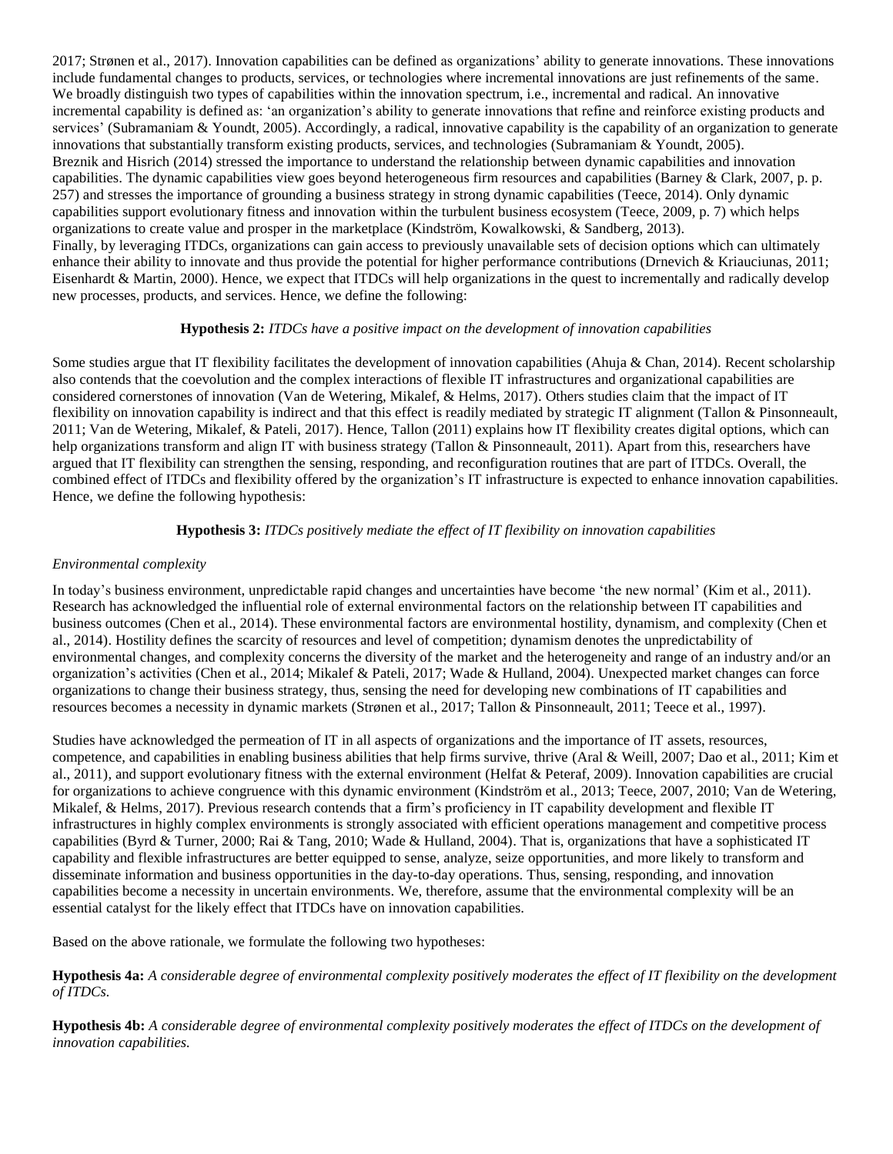2017; Strønen et al., 2017). Innovation capabilities can be defined as organizations' ability to generate innovations. These innovations include fundamental changes to products, services, or technologies where incremental innovations are just refinements of the same. We broadly distinguish two types of capabilities within the innovation spectrum, i.e., incremental and radical. An innovative incremental capability is defined as: 'an organization's ability to generate innovations that refine and reinforce existing products and services' (Subramaniam & Youndt, 2005). Accordingly, a radical, innovative capability is the capability of an organization to generate innovations that substantially transform existing products, services, and technologies (Subramaniam & Youndt, 2005). Breznik and Hisrich (2014) stressed the importance to understand the relationship between dynamic capabilities and innovation capabilities. The dynamic capabilities view goes beyond heterogeneous firm resources and capabilities (Barney & Clark, 2007, p. p. 257) and stresses the importance of grounding a business strategy in strong dynamic capabilities (Teece, 2014). Only dynamic capabilities support evolutionary fitness and innovation within the turbulent business ecosystem (Teece, 2009, p. 7) which helps organizations to create value and prosper in the marketplace (Kindström, Kowalkowski, & Sandberg, 2013). Finally, by leveraging ITDCs, organizations can gain access to previously unavailable sets of decision options which can ultimately enhance their ability to innovate and thus provide the potential for higher performance contributions (Drnevich & Kriauciunas, 2011; Eisenhardt & Martin, 2000). Hence, we expect that ITDCs will help organizations in the quest to incrementally and radically develop new processes, products, and services. Hence, we define the following:

## **Hypothesis 2:** *ITDCs have a positive impact on the development of innovation capabilities*

Some studies argue that IT flexibility facilitates the development of innovation capabilities (Ahuja & Chan, 2014). Recent scholarship also contends that the coevolution and the complex interactions of flexible IT infrastructures and organizational capabilities are considered cornerstones of innovation (Van de Wetering, Mikalef, & Helms, 2017). Others studies claim that the impact of IT flexibility on innovation capability is indirect and that this effect is readily mediated by strategic IT alignment (Tallon & Pinsonneault, 2011; Van de Wetering, Mikalef, & Pateli, 2017). Hence, Tallon (2011) explains how IT flexibility creates digital options, which can help organizations transform and align IT with business strategy (Tallon & Pinsonneault, 2011). Apart from this, researchers have argued that IT flexibility can strengthen the sensing, responding, and reconfiguration routines that are part of ITDCs. Overall, the combined effect of ITDCs and flexibility offered by the organization's IT infrastructure is expected to enhance innovation capabilities. Hence, we define the following hypothesis:

#### **Hypothesis 3:** *ITDCs positively mediate the effect of IT flexibility on innovation capabilities*

#### *Environmental complexity*

In today's business environment, unpredictable rapid changes and uncertainties have become 'the new normal' (Kim et al., 2011). Research has acknowledged the influential role of external environmental factors on the relationship between IT capabilities and business outcomes (Chen et al., 2014). These environmental factors are environmental hostility, dynamism, and complexity (Chen et al., 2014). Hostility defines the scarcity of resources and level of competition; dynamism denotes the unpredictability of environmental changes, and complexity concerns the diversity of the market and the heterogeneity and range of an industry and/or an organization's activities (Chen et al., 2014; Mikalef & Pateli, 2017; Wade & Hulland, 2004). Unexpected market changes can force organizations to change their business strategy, thus, sensing the need for developing new combinations of IT capabilities and resources becomes a necessity in dynamic markets (Strønen et al., 2017; Tallon & Pinsonneault, 2011; Teece et al., 1997).

Studies have acknowledged the permeation of IT in all aspects of organizations and the importance of IT assets, resources, competence, and capabilities in enabling business abilities that help firms survive, thrive (Aral & Weill, 2007; Dao et al., 2011; Kim et al., 2011), and support evolutionary fitness with the external environment (Helfat & Peteraf, 2009). Innovation capabilities are crucial for organizations to achieve congruence with this dynamic environment (Kindström et al., 2013; Teece, 2007, 2010; Van de Wetering, Mikalef, & Helms, 2017). Previous research contends that a firm's proficiency in IT capability development and flexible IT infrastructures in highly complex environments is strongly associated with efficient operations management and competitive process capabilities (Byrd & Turner, 2000; Rai & Tang, 2010; Wade & Hulland, 2004). That is, organizations that have a sophisticated IT capability and flexible infrastructures are better equipped to sense, analyze, seize opportunities, and more likely to transform and disseminate information and business opportunities in the day-to-day operations. Thus, sensing, responding, and innovation capabilities become a necessity in uncertain environments. We, therefore, assume that the environmental complexity will be an essential catalyst for the likely effect that ITDCs have on innovation capabilities.

Based on the above rationale, we formulate the following two hypotheses:

**Hypothesis 4a:** *A considerable degree of environmental complexity positively moderates the effect of IT flexibility on the development of ITDCs.*

**Hypothesis 4b:** *A considerable degree of environmental complexity positively moderates the effect of ITDCs on the development of innovation capabilities.*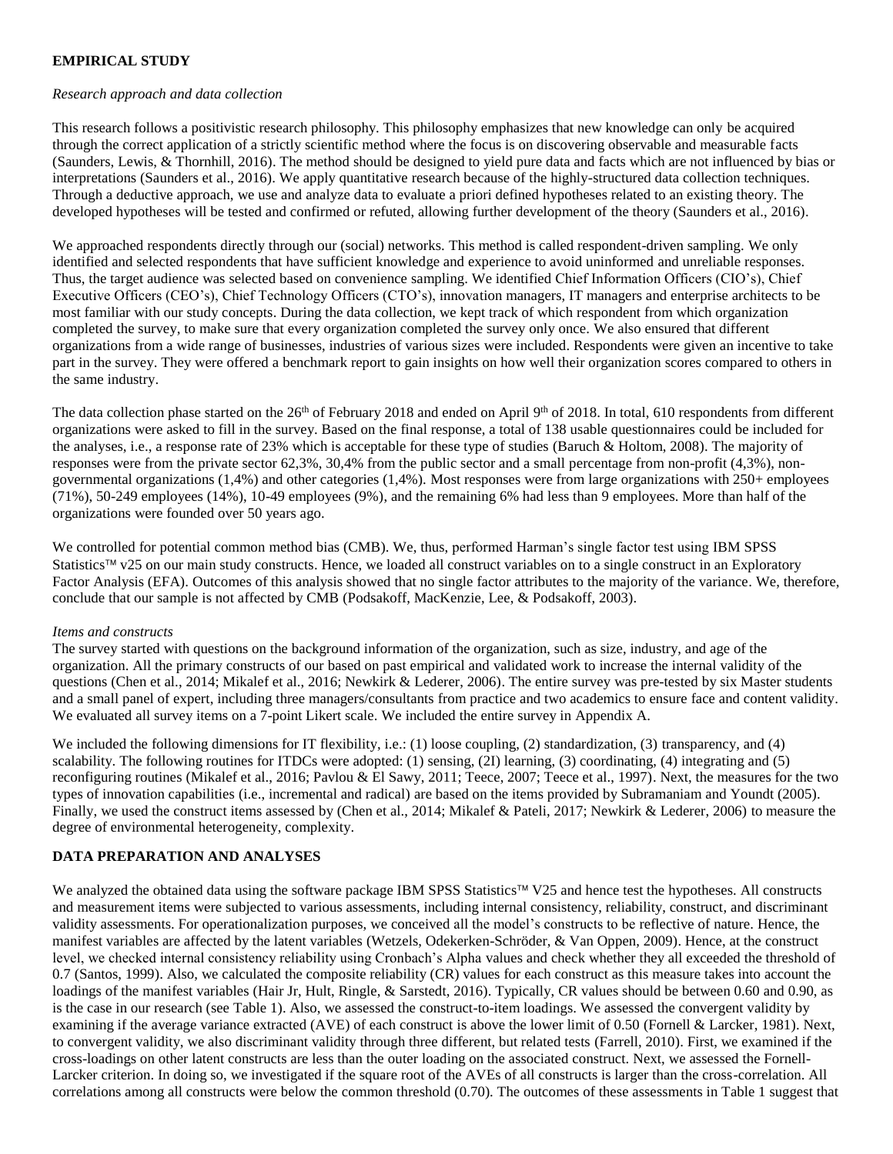# **EMPIRICAL STUDY**

#### *Research approach and data collection*

This research follows a positivistic research philosophy. This philosophy emphasizes that new knowledge can only be acquired through the correct application of a strictly scientific method where the focus is on discovering observable and measurable facts (Saunders, Lewis, & Thornhill, 2016). The method should be designed to yield pure data and facts which are not influenced by bias or interpretations (Saunders et al., 2016). We apply quantitative research because of the highly-structured data collection techniques. Through a deductive approach, we use and analyze data to evaluate a priori defined hypotheses related to an existing theory. The developed hypotheses will be tested and confirmed or refuted, allowing further development of the theory (Saunders et al., 2016).

We approached respondents directly through our (social) networks. This method is called respondent-driven sampling. We only identified and selected respondents that have sufficient knowledge and experience to avoid uninformed and unreliable responses. Thus, the target audience was selected based on convenience sampling. We identified Chief Information Officers (CIO's), Chief Executive Officers (CEO's), Chief Technology Officers (CTO's), innovation managers, IT managers and enterprise architects to be most familiar with our study concepts. During the data collection, we kept track of which respondent from which organization completed the survey, to make sure that every organization completed the survey only once. We also ensured that different organizations from a wide range of businesses, industries of various sizes were included. Respondents were given an incentive to take part in the survey. They were offered a benchmark report to gain insights on how well their organization scores compared to others in the same industry.

The data collection phase started on the  $26<sup>th</sup>$  of February 2018 and ended on April 9<sup>th</sup> of 2018. In total, 610 respondents from different organizations were asked to fill in the survey. Based on the final response, a total of 138 usable questionnaires could be included for the analyses, i.e., a response rate of 23% which is acceptable for these type of studies (Baruch & Holtom, 2008). The majority of responses were from the private sector 62,3%, 30,4% from the public sector and a small percentage from non-profit (4,3%), nongovernmental organizations (1,4%) and other categories (1,4%). Most responses were from large organizations with 250+ employees (71%), 50-249 employees (14%), 10-49 employees (9%), and the remaining 6% had less than 9 employees. More than half of the organizations were founded over 50 years ago.

We controlled for potential common method bias (CMB). We, thus, performed Harman's single factor test using IBM SPSS Statistics<sup> $TM$ </sup> v25 on our main study constructs. Hence, we loaded all construct variables on to a single construct in an Exploratory Factor Analysis (EFA). Outcomes of this analysis showed that no single factor attributes to the majority of the variance. We, therefore, conclude that our sample is not affected by CMB (Podsakoff, MacKenzie, Lee, & Podsakoff, 2003).

## *Items and constructs*

The survey started with questions on the background information of the organization, such as size, industry, and age of the organization. All the primary constructs of our based on past empirical and validated work to increase the internal validity of the questions (Chen et al., 2014; Mikalef et al., 2016; Newkirk & Lederer, 2006). The entire survey was pre-tested by six Master students and a small panel of expert, including three managers/consultants from practice and two academics to ensure face and content validity. We evaluated all survey items on a 7-point Likert scale. We included the entire survey in Appendix A.

We included the following dimensions for IT flexibility, i.e.: (1) loose coupling, (2) standardization, (3) transparency, and (4) scalability. The following routines for ITDCs were adopted: (1) sensing, (2I) learning, (3) coordinating, (4) integrating and (5) reconfiguring routines (Mikalef et al., 2016; Pavlou & El Sawy, 2011; Teece, 2007; Teece et al., 1997). Next, the measures for the two types of innovation capabilities (i.e., incremental and radical) are based on the items provided by Subramaniam and Youndt (2005). Finally, we used the construct items assessed by (Chen et al., 2014; Mikalef & Pateli, 2017; Newkirk & Lederer, 2006) to measure the degree of environmental heterogeneity, complexity.

## **DATA PREPARATION AND ANALYSES**

We analyzed the obtained data using the software package IBM SPSS Statistics™ V25 and hence test the hypotheses. All constructs and measurement items were subjected to various assessments, including internal consistency, reliability, construct, and discriminant validity assessments. For operationalization purposes, we conceived all the model's constructs to be reflective of nature. Hence, the manifest variables are affected by the latent variables (Wetzels, Odekerken-Schröder, & Van Oppen, 2009). Hence, at the construct level, we checked internal consistency reliability using Cronbach's Alpha values and check whether they all exceeded the threshold of 0.7 (Santos, 1999). Also, we calculated the composite reliability (CR) values for each construct as this measure takes into account the loadings of the manifest variables (Hair Jr, Hult, Ringle, & Sarstedt, 2016). Typically, CR values should be between 0.60 and 0.90, as is the case in our research (see Table 1). Also, we assessed the construct-to-item loadings. We assessed the convergent validity by examining if the average variance extracted (AVE) of each construct is above the lower limit of 0.50 (Fornell & Larcker, 1981). Next, to convergent validity, we also discriminant validity through three different, but related tests (Farrell, 2010). First, we examined if the cross-loadings on other latent constructs are less than the outer loading on the associated construct. Next, we assessed the Fornell-Larcker criterion. In doing so, we investigated if the square root of the AVEs of all constructs is larger than the cross-correlation. All correlations among all constructs were below the common threshold (0.70). The outcomes of these assessments in Table 1 suggest that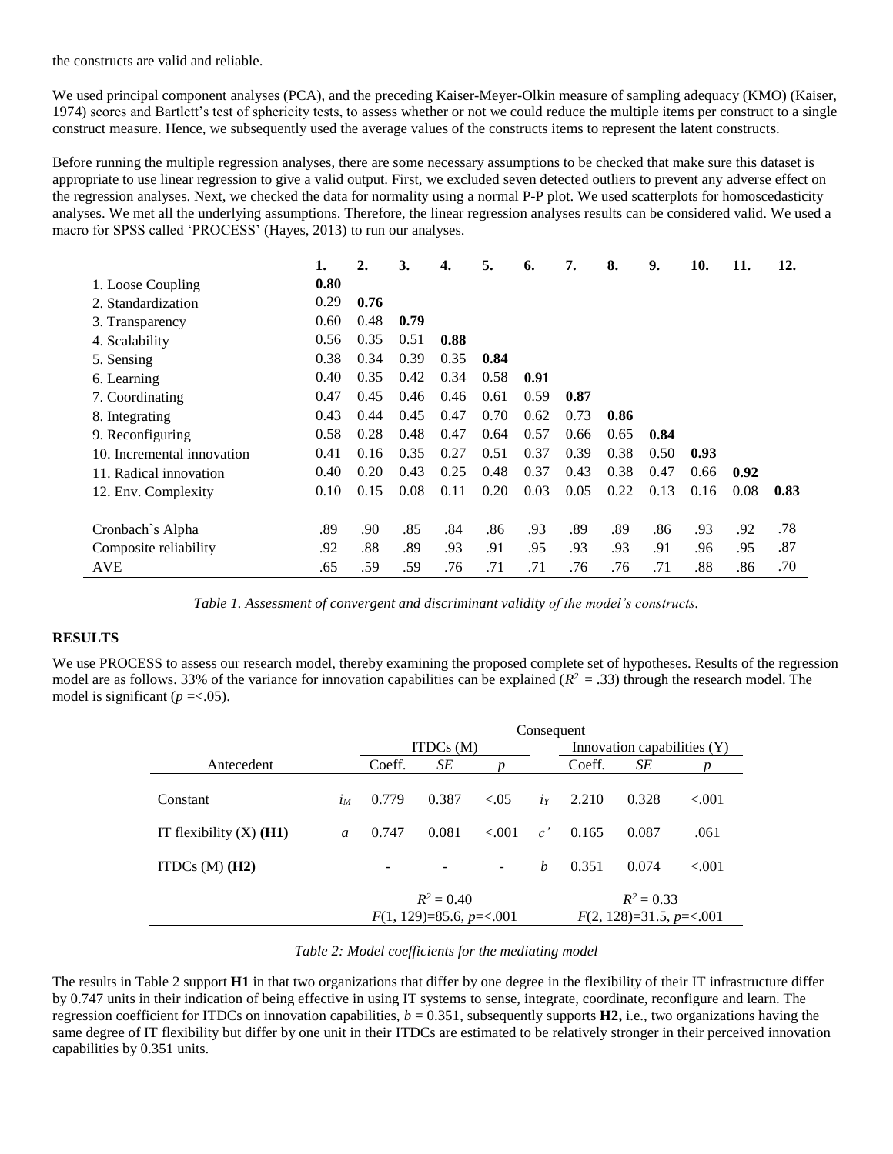the constructs are valid and reliable.

We used principal component analyses (PCA), and the preceding Kaiser-Meyer-Olkin measure of sampling adequacy (KMO) (Kaiser, 1974) scores and Bartlett's test of sphericity tests, to assess whether or not we could reduce the multiple items per construct to a single construct measure. Hence, we subsequently used the average values of the constructs items to represent the latent constructs.

Before running the multiple regression analyses, there are some necessary assumptions to be checked that make sure this dataset is appropriate to use linear regression to give a valid output. First, we excluded seven detected outliers to prevent any adverse effect on the regression analyses. Next, we checked the data for normality using a normal P-P plot. We used scatterplots for homoscedasticity analyses. We met all the underlying assumptions. Therefore, the linear regression analyses results can be considered valid. We used a macro for SPSS called 'PROCESS' (Hayes, 2013) to run our analyses.

|                            | 1.   | $\overline{2}$ . | 3.   | 4.   | 5.   | 6.   | 7.   | 8.   | 9.   | 10.  | 11.  | 12.  |
|----------------------------|------|------------------|------|------|------|------|------|------|------|------|------|------|
| 1. Loose Coupling          | 0.80 |                  |      |      |      |      |      |      |      |      |      |      |
| 2. Standardization         | 0.29 | 0.76             |      |      |      |      |      |      |      |      |      |      |
| 3. Transparency            | 0.60 | 0.48             | 0.79 |      |      |      |      |      |      |      |      |      |
| 4. Scalability             | 0.56 | 0.35             | 0.51 | 0.88 |      |      |      |      |      |      |      |      |
| 5. Sensing                 | 0.38 | 0.34             | 0.39 | 0.35 | 0.84 |      |      |      |      |      |      |      |
| 6. Learning                | 0.40 | 0.35             | 0.42 | 0.34 | 0.58 | 0.91 |      |      |      |      |      |      |
| 7. Coordinating            | 0.47 | 0.45             | 0.46 | 0.46 | 0.61 | 0.59 | 0.87 |      |      |      |      |      |
| 8. Integrating             | 0.43 | 0.44             | 0.45 | 0.47 | 0.70 | 0.62 | 0.73 | 0.86 |      |      |      |      |
| 9. Reconfiguring           | 0.58 | 0.28             | 0.48 | 0.47 | 0.64 | 0.57 | 0.66 | 0.65 | 0.84 |      |      |      |
| 10. Incremental innovation | 0.41 | 0.16             | 0.35 | 0.27 | 0.51 | 0.37 | 0.39 | 0.38 | 0.50 | 0.93 |      |      |
| 11. Radical innovation     | 0.40 | 0.20             | 0.43 | 0.25 | 0.48 | 0.37 | 0.43 | 0.38 | 0.47 | 0.66 | 0.92 |      |
| 12. Env. Complexity        | 0.10 | 0.15             | 0.08 | 0.11 | 0.20 | 0.03 | 0.05 | 0.22 | 0.13 | 0.16 | 0.08 | 0.83 |
|                            |      |                  |      |      |      |      |      |      |      |      |      |      |
| Cronbach's Alpha           | .89  | .90              | .85  | .84  | .86  | .93  | .89  | .89  | .86  | .93  | .92  | .78  |
| Composite reliability      | .92  | .88              | .89  | .93  | .91  | .95  | .93  | .93  | .91  | .96  | .95  | .87  |
| <b>AVE</b>                 | .65  | .59              | .59  | .76  | .71  | .71  | .76  | .76  | .71  | .88  | .86  | .70  |

*Table 1. Assessment of convergent and discriminant validity of the model's constructs.*

## **RESULTS**

We use PROCESS to assess our research model, thereby examining the proposed complete set of hypotheses. Results of the regression model are as follows. 33% of the variance for innovation capabilities can be explained  $(R^2 = .33)$  through the research model. The model is significant ( $p = < .05$ ).

|                                    |                | Consequent                                |       |        |                  |                                           |       |          |  |
|------------------------------------|----------------|-------------------------------------------|-------|--------|------------------|-------------------------------------------|-------|----------|--|
|                                    |                | ITDCs $(M)$                               |       |        |                  | Innovation capabilities (Y)               |       |          |  |
| Antecedent                         |                | Coeff.                                    | SE    |        |                  | Coeff.                                    | SE    |          |  |
| Constant                           | $i_M$          | 0.779                                     | 0.387 | $-.05$ | $i_Y$            | 2.210                                     | 0.328 | ${<}001$ |  |
| IT flexibility $(X)$ ( <b>H1</b> ) | $\mathfrak{a}$ | 0.747                                     | 0.081 | < 0.01 | c'               | 0.165                                     | 0.087 | .061     |  |
| ITDCs $(M)$ (H2)                   |                |                                           |       |        | $\boldsymbol{b}$ | 0.351                                     | 0.074 | ${<}001$ |  |
|                                    |                | $R^2 = 0.40$<br>$F(1, 129)=85.6, p=<.001$ |       |        |                  | $R^2 = 0.33$<br>$F(2, 128)=31.5, p=<.001$ |       |          |  |

#### *Table 2: Model coefficients for the mediating model*

The results in Table 2 support **H1** in that two organizations that differ by one degree in the flexibility of their IT infrastructure differ by 0.747 units in their indication of being effective in using IT systems to sense, integrate, coordinate, reconfigure and learn. The regression coefficient for ITDCs on innovation capabilities,  $b = 0.351$ , subsequently supports  $H2$ , i.e., two organizations having the same degree of IT flexibility but differ by one unit in their ITDCs are estimated to be relatively stronger in their perceived innovation capabilities by 0.351 units.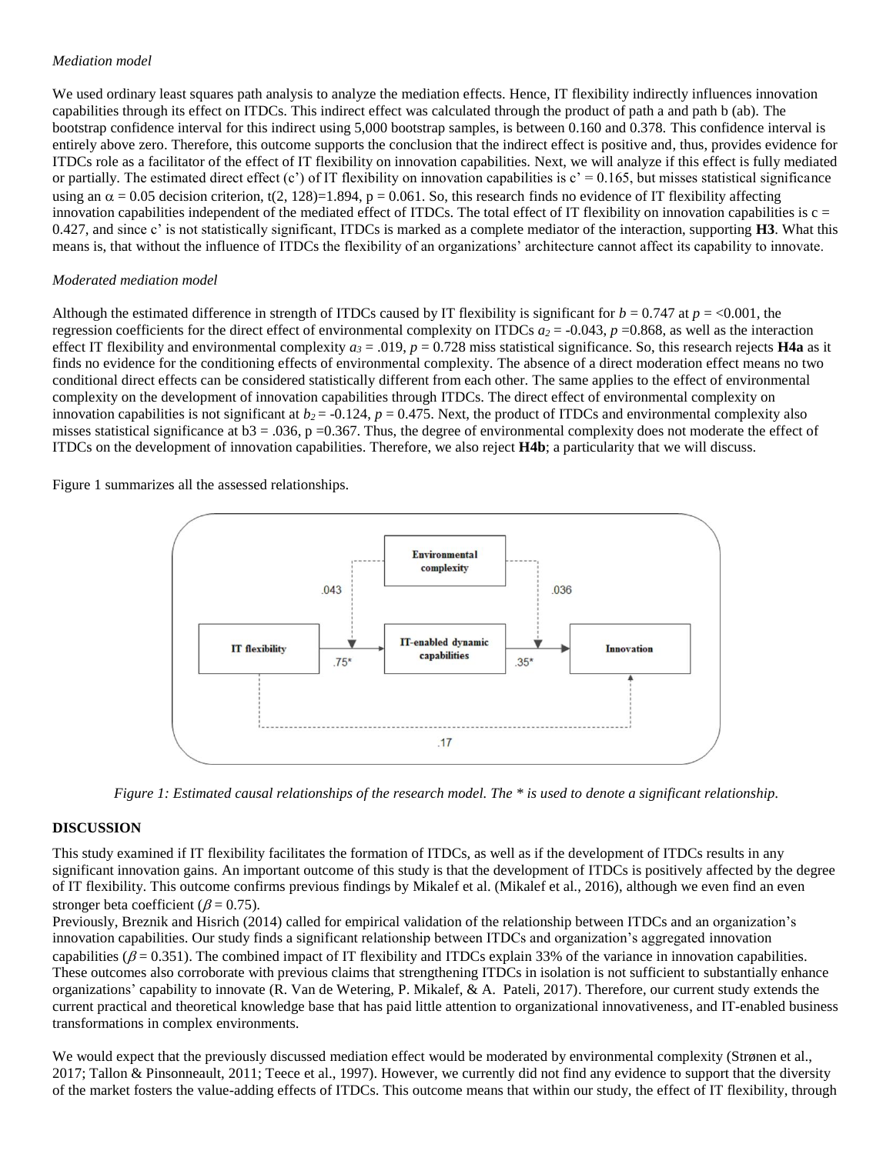## *Mediation model*

We used ordinary least squares path analysis to analyze the mediation effects. Hence, IT flexibility indirectly influences innovation capabilities through its effect on ITDCs. This indirect effect was calculated through the product of path a and path b (ab). The bootstrap confidence interval for this indirect using 5,000 bootstrap samples, is between 0.160 and 0.378. This confidence interval is entirely above zero. Therefore, this outcome supports the conclusion that the indirect effect is positive and, thus, provides evidence for ITDCs role as a facilitator of the effect of IT flexibility on innovation capabilities. Next, we will analyze if this effect is fully mediated or partially. The estimated direct effect  $(c')$  of IT flexibility on innovation capabilities is  $c' = 0.165$ , but misses statistical significance using an  $\alpha = 0.05$  decision criterion, t(2, 128)=1.894, p = 0.061. So, this research finds no evidence of IT flexibility affecting innovation capabilities independent of the mediated effect of ITDCs. The total effect of IT flexibility on innovation capabilities is  $c =$ 0.427, and since c' is not statistically significant, ITDCs is marked as a complete mediator of the interaction, supporting **H3**. What this means is, that without the influence of ITDCs the flexibility of an organizations' architecture cannot affect its capability to innovate.

## *Moderated mediation model*

Although the estimated difference in strength of ITDCs caused by IT flexibility is significant for  $b = 0.747$  at  $p = <0.001$ , the regression coefficients for the direct effect of environmental complexity on ITDCs  $a_2 = -0.043$ ,  $p = 0.868$ , as well as the interaction effect IT flexibility and environmental complexity  $a_3 = .019$ ,  $p = 0.728$  miss statistical significance. So, this research rejects **H4a** as it finds no evidence for the conditioning effects of environmental complexity. The absence of a direct moderation effect means no two conditional direct effects can be considered statistically different from each other. The same applies to the effect of environmental complexity on the development of innovation capabilities through ITDCs. The direct effect of environmental complexity on innovation capabilities is not significant at  $b_2$  = -0.124,  $p = 0.475$ . Next, the product of ITDCs and environmental complexity also misses statistical significance at  $b3 = 0.036$ , p = 0.367. Thus, the degree of environmental complexity does not moderate the effect of ITDCs on the development of innovation capabilities. Therefore, we also reject **H4b**; a particularity that we will discuss.

Figure 1 summarizes all the assessed relationships.



*Figure 1: Estimated causal relationships of the research model. The \* is used to denote a significant relationship.*

# **DISCUSSION**

This study examined if IT flexibility facilitates the formation of ITDCs, as well as if the development of ITDCs results in any significant innovation gains. An important outcome of this study is that the development of ITDCs is positively affected by the degree of IT flexibility. This outcome confirms previous findings by Mikalef et al. (Mikalef et al., 2016), although we even find an even stronger beta coefficient ( $\beta$  = 0.75).

Previously, Breznik and Hisrich (2014) called for empirical validation of the relationship between ITDCs and an organization's innovation capabilities. Our study finds a significant relationship between ITDCs and organization's aggregated innovation capabilities ( $\beta$  = 0.351). The combined impact of IT flexibility and ITDCs explain 33% of the variance in innovation capabilities. These outcomes also corroborate with previous claims that strengthening ITDCs in isolation is not sufficient to substantially enhance organizations' capability to innovate (R. Van de Wetering, P. Mikalef, & A. Pateli, 2017). Therefore, our current study extends the current practical and theoretical knowledge base that has paid little attention to organizational innovativeness, and IT-enabled business transformations in complex environments.

We would expect that the previously discussed mediation effect would be moderated by environmental complexity (Strønen et al., 2017; Tallon & Pinsonneault, 2011; Teece et al., 1997). However, we currently did not find any evidence to support that the diversity of the market fosters the value-adding effects of ITDCs. This outcome means that within our study, the effect of IT flexibility, through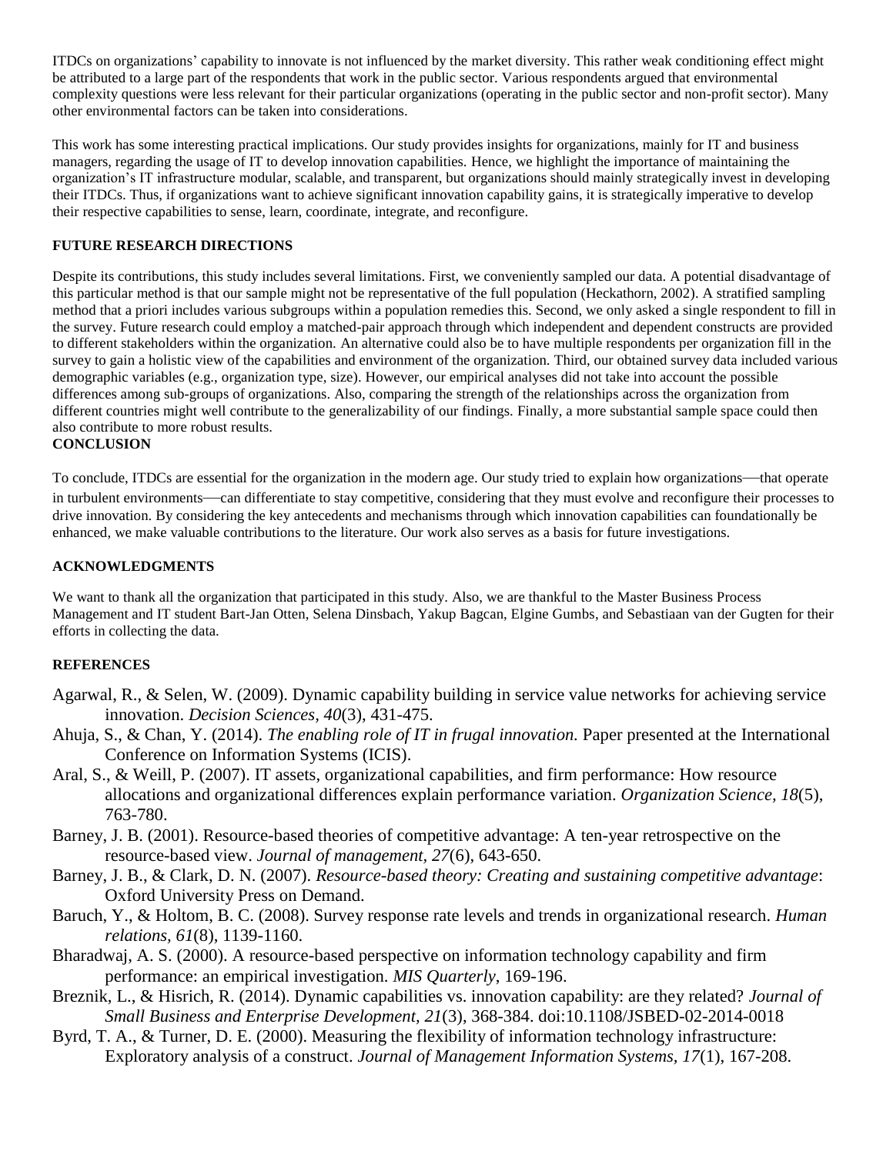ITDCs on organizations' capability to innovate is not influenced by the market diversity. This rather weak conditioning effect might be attributed to a large part of the respondents that work in the public sector. Various respondents argued that environmental complexity questions were less relevant for their particular organizations (operating in the public sector and non-profit sector). Many other environmental factors can be taken into considerations.

This work has some interesting practical implications. Our study provides insights for organizations, mainly for IT and business managers, regarding the usage of IT to develop innovation capabilities. Hence, we highlight the importance of maintaining the organization's IT infrastructure modular, scalable, and transparent, but organizations should mainly strategically invest in developing their ITDCs. Thus, if organizations want to achieve significant innovation capability gains, it is strategically imperative to develop their respective capabilities to sense, learn, coordinate, integrate, and reconfigure.

## **FUTURE RESEARCH DIRECTIONS**

Despite its contributions, this study includes several limitations. First, we conveniently sampled our data. A potential disadvantage of this particular method is that our sample might not be representative of the full population (Heckathorn, 2002). A stratified sampling method that a priori includes various subgroups within a population remedies this. Second, we only asked a single respondent to fill in the survey. Future research could employ a matched-pair approach through which independent and dependent constructs are provided to different stakeholders within the organization. An alternative could also be to have multiple respondents per organization fill in the survey to gain a holistic view of the capabilities and environment of the organization. Third, our obtained survey data included various demographic variables (e.g., organization type, size). However, our empirical analyses did not take into account the possible differences among sub-groups of organizations. Also, comparing the strength of the relationships across the organization from different countries might well contribute to the generalizability of our findings. Finally, a more substantial sample space could then also contribute to more robust results.

## **CONCLUSION**

To conclude, ITDCs are essential for the organization in the modern age. Our study tried to explain how organizations—that operate in turbulent environments—can differentiate to stay competitive, considering that they must evolve and reconfigure their processes to drive innovation. By considering the key antecedents and mechanisms through which innovation capabilities can foundationally be enhanced, we make valuable contributions to the literature. Our work also serves as a basis for future investigations.

## **ACKNOWLEDGMENTS**

We want to thank all the organization that participated in this study. Also, we are thankful to the Master Business Process Management and IT student Bart-Jan Otten, Selena Dinsbach, Yakup Bagcan, Elgine Gumbs, and Sebastiaan van der Gugten for their efforts in collecting the data.

# **REFERENCES**

- Agarwal, R., & Selen, W. (2009). Dynamic capability building in service value networks for achieving service innovation. *Decision Sciences, 40*(3), 431-475.
- Ahuja, S., & Chan, Y. (2014). *The enabling role of IT in frugal innovation.* Paper presented at the International Conference on Information Systems (ICIS).
- Aral, S., & Weill, P. (2007). IT assets, organizational capabilities, and firm performance: How resource allocations and organizational differences explain performance variation. *Organization Science, 18*(5), 763-780.
- Barney, J. B. (2001). Resource-based theories of competitive advantage: A ten-year retrospective on the resource-based view. *Journal of management, 27*(6), 643-650.
- Barney, J. B., & Clark, D. N. (2007). *Resource-based theory: Creating and sustaining competitive advantage*: Oxford University Press on Demand.
- Baruch, Y., & Holtom, B. C. (2008). Survey response rate levels and trends in organizational research. *Human relations, 61*(8), 1139-1160.
- Bharadwaj, A. S. (2000). A resource-based perspective on information technology capability and firm performance: an empirical investigation. *MIS Quarterly*, 169-196.
- Breznik, L., & Hisrich, R. (2014). Dynamic capabilities vs. innovation capability: are they related? *Journal of Small Business and Enterprise Development, 21*(3), 368-384. doi:10.1108/JSBED-02-2014-0018
- Byrd, T. A., & Turner, D. E. (2000). Measuring the flexibility of information technology infrastructure: Exploratory analysis of a construct. *Journal of Management Information Systems, 17*(1), 167-208.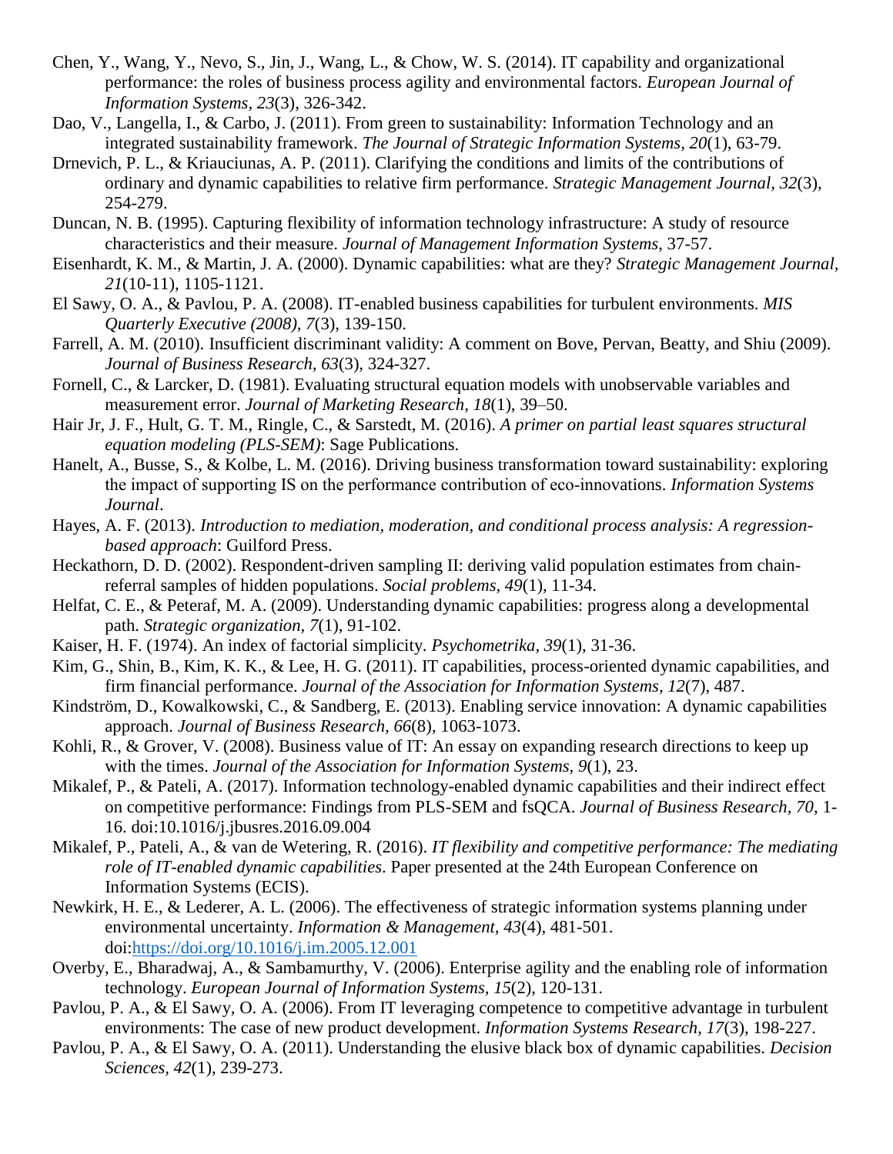- Chen, Y., Wang, Y., Nevo, S., Jin, J., Wang, L., & Chow, W. S. (2014). IT capability and organizational performance: the roles of business process agility and environmental factors. *European Journal of Information Systems, 23*(3), 326-342.
- Dao, V., Langella, I., & Carbo, J. (2011). From green to sustainability: Information Technology and an integrated sustainability framework. *The Journal of Strategic Information Systems, 20*(1), 63-79.
- Drnevich, P. L., & Kriauciunas, A. P. (2011). Clarifying the conditions and limits of the contributions of ordinary and dynamic capabilities to relative firm performance. *Strategic Management Journal, 32*(3), 254-279.
- Duncan, N. B. (1995). Capturing flexibility of information technology infrastructure: A study of resource characteristics and their measure. *Journal of Management Information Systems*, 37-57.
- Eisenhardt, K. M., & Martin, J. A. (2000). Dynamic capabilities: what are they? *Strategic Management Journal, 21*(10-11), 1105-1121.
- El Sawy, O. A., & Pavlou, P. A. (2008). IT-enabled business capabilities for turbulent environments. *MIS Quarterly Executive (2008), 7*(3), 139-150.
- Farrell, A. M. (2010). Insufficient discriminant validity: A comment on Bove, Pervan, Beatty, and Shiu (2009). *Journal of Business Research, 63*(3), 324-327.
- Fornell, C., & Larcker, D. (1981). Evaluating structural equation models with unobservable variables and measurement error. *Journal of Marketing Research, 18*(1), 39–50.
- Hair Jr, J. F., Hult, G. T. M., Ringle, C., & Sarstedt, M. (2016). *A primer on partial least squares structural equation modeling (PLS-SEM)*: Sage Publications.
- Hanelt, A., Busse, S., & Kolbe, L. M. (2016). Driving business transformation toward sustainability: exploring the impact of supporting IS on the performance contribution of eco‐innovations. *Information Systems Journal*.
- Hayes, A. F. (2013). *Introduction to mediation, moderation, and conditional process analysis: A regressionbased approach*: Guilford Press.
- Heckathorn, D. D. (2002). Respondent-driven sampling II: deriving valid population estimates from chainreferral samples of hidden populations. *Social problems, 49*(1), 11-34.
- Helfat, C. E., & Peteraf, M. A. (2009). Understanding dynamic capabilities: progress along a developmental path. *Strategic organization, 7*(1), 91-102.
- Kaiser, H. F. (1974). An index of factorial simplicity. *Psychometrika, 39*(1), 31-36.
- Kim, G., Shin, B., Kim, K. K., & Lee, H. G. (2011). IT capabilities, process-oriented dynamic capabilities, and firm financial performance. *Journal of the Association for Information Systems, 12*(7), 487.
- Kindström, D., Kowalkowski, C., & Sandberg, E. (2013). Enabling service innovation: A dynamic capabilities approach. *Journal of Business Research, 66*(8), 1063-1073.
- Kohli, R., & Grover, V. (2008). Business value of IT: An essay on expanding research directions to keep up with the times. *Journal of the Association for Information Systems, 9*(1), 23.
- Mikalef, P., & Pateli, A. (2017). Information technology-enabled dynamic capabilities and their indirect effect on competitive performance: Findings from PLS-SEM and fsQCA. *Journal of Business Research, 70*, 1- 16. doi:10.1016/j.jbusres.2016.09.004
- Mikalef, P., Pateli, A., & van de Wetering, R. (2016). *IT flexibility and competitive performance: The mediating role of IT-enabled dynamic capabilities*. Paper presented at the 24th European Conference on Information Systems (ECIS).
- Newkirk, H. E., & Lederer, A. L. (2006). The effectiveness of strategic information systems planning under environmental uncertainty. *Information & Management, 43*(4), 481-501. doi[:https://doi.org/10.1016/j.im.2005.12.001](https://doi.org/10.1016/j.im.2005.12.001)
- Overby, E., Bharadwaj, A., & Sambamurthy, V. (2006). Enterprise agility and the enabling role of information technology. *European Journal of Information Systems, 15*(2), 120-131.
- Pavlou, P. A., & El Sawy, O. A. (2006). From IT leveraging competence to competitive advantage in turbulent environments: The case of new product development. *Information Systems Research, 17*(3), 198-227.
- Pavlou, P. A., & El Sawy, O. A. (2011). Understanding the elusive black box of dynamic capabilities. *Decision Sciences, 42*(1), 239-273.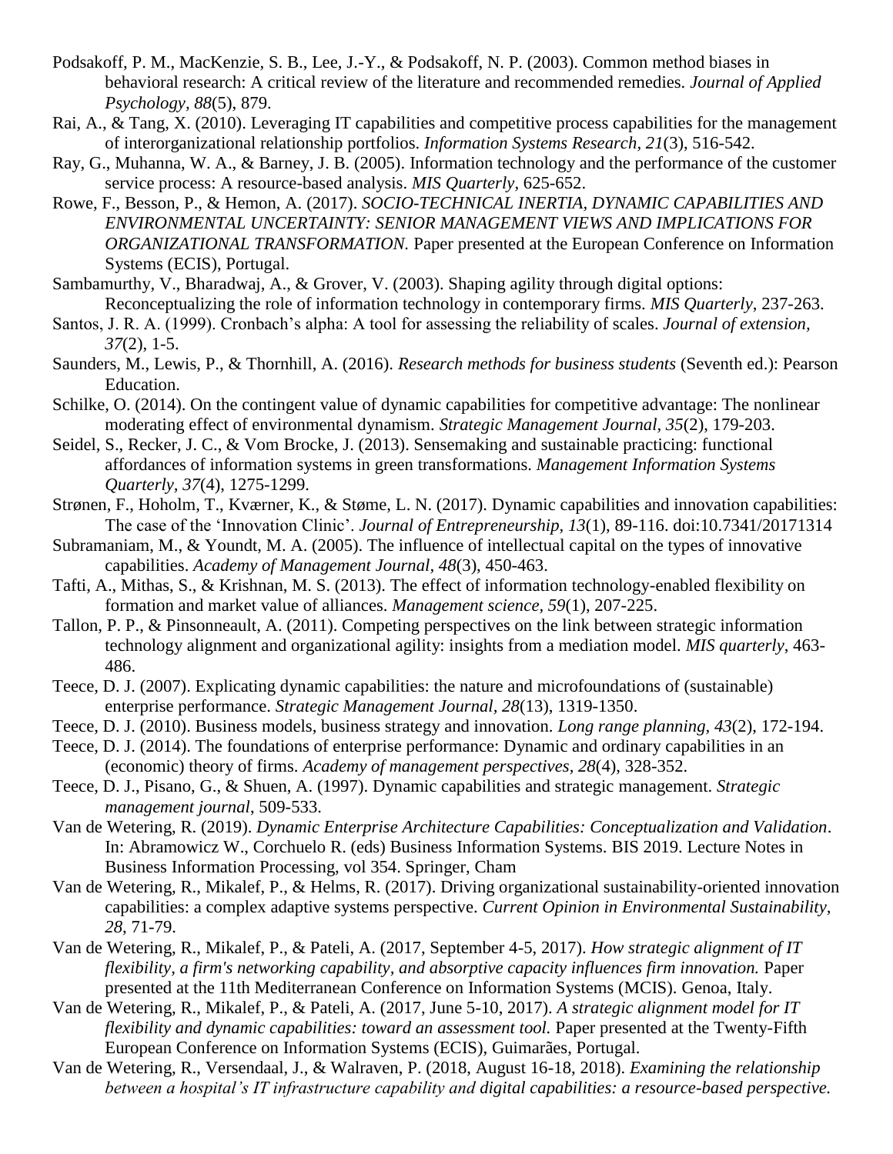- Podsakoff, P. M., MacKenzie, S. B., Lee, J.-Y., & Podsakoff, N. P. (2003). Common method biases in behavioral research: A critical review of the literature and recommended remedies. *Journal of Applied Psychology, 88*(5), 879.
- Rai, A., & Tang, X. (2010). Leveraging IT capabilities and competitive process capabilities for the management of interorganizational relationship portfolios. *Information Systems Research, 21*(3), 516-542.
- Ray, G., Muhanna, W. A., & Barney, J. B. (2005). Information technology and the performance of the customer service process: A resource-based analysis. *MIS Quarterly*, 625-652.
- Rowe, F., Besson, P., & Hemon, A. (2017). *SOCIO-TECHNICAL INERTIA, DYNAMIC CAPABILITIES AND ENVIRONMENTAL UNCERTAINTY: SENIOR MANAGEMENT VIEWS AND IMPLICATIONS FOR ORGANIZATIONAL TRANSFORMATION.* Paper presented at the European Conference on Information Systems (ECIS), Portugal.
- Sambamurthy, V., Bharadwaj, A., & Grover, V. (2003). Shaping agility through digital options: Reconceptualizing the role of information technology in contemporary firms. *MIS Quarterly*, 237-263.
- Santos, J. R. A. (1999). Cronbach's alpha: A tool for assessing the reliability of scales. *Journal of extension, 37*(2), 1-5.
- Saunders, M., Lewis, P., & Thornhill, A. (2016). *Research methods for business students* (Seventh ed.): Pearson Education.
- Schilke, O. (2014). On the contingent value of dynamic capabilities for competitive advantage: The nonlinear moderating effect of environmental dynamism. *Strategic Management Journal, 35*(2), 179-203.
- Seidel, S., Recker, J. C., & Vom Brocke, J. (2013). Sensemaking and sustainable practicing: functional affordances of information systems in green transformations. *Management Information Systems Quarterly, 37*(4), 1275-1299.
- Strønen, F., Hoholm, T., Kværner, K., & Støme, L. N. (2017). Dynamic capabilities and innovation capabilities: The case of the 'Innovation Clinic'. *Journal of Entrepreneurship, 13*(1), 89-116. doi:10.7341/20171314
- Subramaniam, M., & Youndt, M. A. (2005). The influence of intellectual capital on the types of innovative capabilities. *Academy of Management Journal, 48*(3), 450-463.
- Tafti, A., Mithas, S., & Krishnan, M. S. (2013). The effect of information technology-enabled flexibility on formation and market value of alliances. *Management science, 59*(1), 207-225.
- Tallon, P. P., & Pinsonneault, A. (2011). Competing perspectives on the link between strategic information technology alignment and organizational agility: insights from a mediation model. *MIS quarterly*, 463- 486.
- Teece, D. J. (2007). Explicating dynamic capabilities: the nature and microfoundations of (sustainable) enterprise performance. *Strategic Management Journal, 28*(13), 1319-1350.
- Teece, D. J. (2010). Business models, business strategy and innovation. *Long range planning, 43*(2), 172-194.
- Teece, D. J. (2014). The foundations of enterprise performance: Dynamic and ordinary capabilities in an (economic) theory of firms. *Academy of management perspectives, 28*(4), 328-352.
- Teece, D. J., Pisano, G., & Shuen, A. (1997). Dynamic capabilities and strategic management. *Strategic management journal*, 509-533.
- Van de Wetering, R. (2019). *Dynamic Enterprise Architecture Capabilities: Conceptualization and Validation*. In: Abramowicz W., Corchuelo R. (eds) Business Information Systems. BIS 2019. Lecture Notes in Business Information Processing, vol 354. Springer, Cham
- Van de Wetering, R., Mikalef, P., & Helms, R. (2017). Driving organizational sustainability-oriented innovation capabilities: a complex adaptive systems perspective. *Current Opinion in Environmental Sustainability, 28*, 71-79.
- Van de Wetering, R., Mikalef, P., & Pateli, A. (2017, September 4-5, 2017). *How strategic alignment of IT flexibility, a firm's networking capability, and absorptive capacity influences firm innovation.* Paper presented at the 11th Mediterranean Conference on Information Systems (MCIS). Genoa, Italy.
- Van de Wetering, R., Mikalef, P., & Pateli, A. (2017, June 5-10, 2017). *A strategic alignment model for IT flexibility and dynamic capabilities: toward an assessment tool.* Paper presented at the Twenty-Fifth European Conference on Information Systems (ECIS), Guimarães, Portugal.
- Van de Wetering, R., Versendaal, J., & Walraven, P. (2018, August 16-18, 2018). *Examining the relationship between a hospital's IT infrastructure capability and digital capabilities: a resource-based perspective.*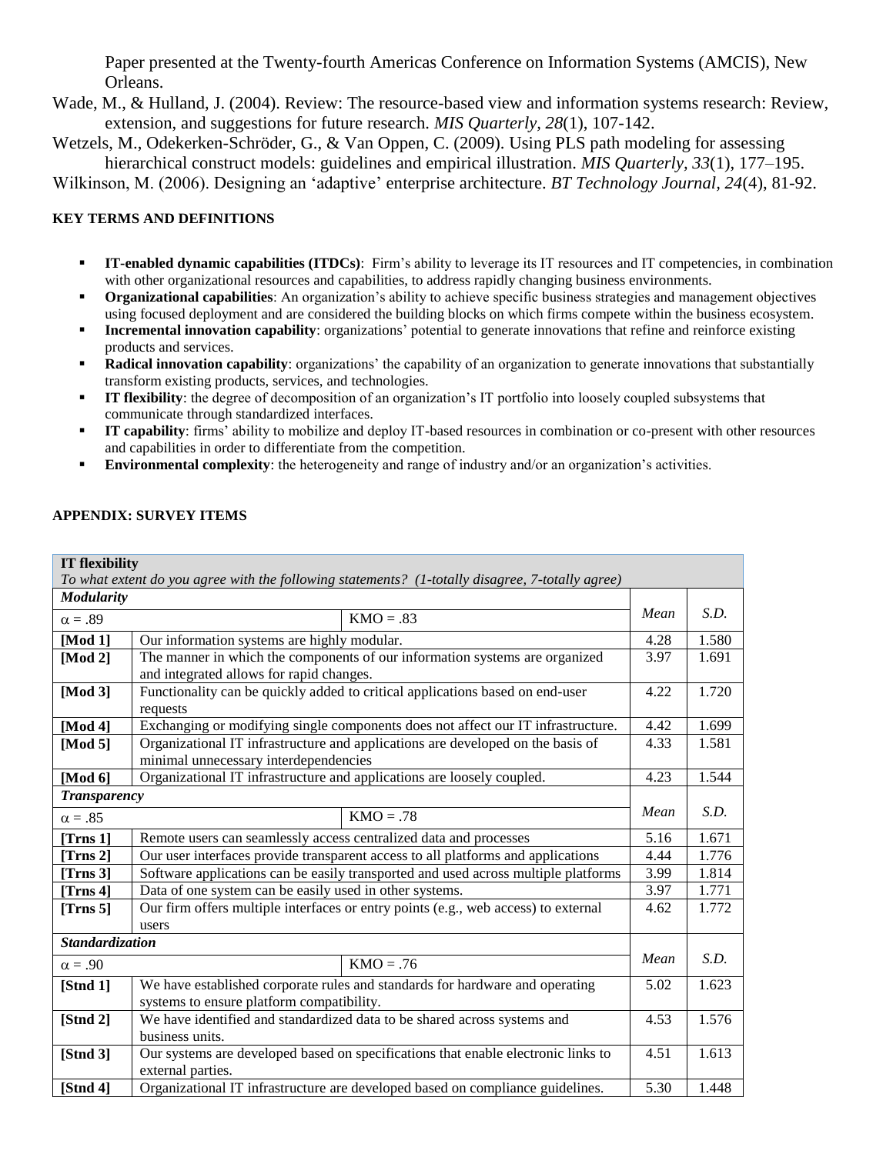Paper presented at the Twenty-fourth Americas Conference on Information Systems (AMCIS), New Orleans.

Wade, M., & Hulland, J. (2004). Review: The resource-based view and information systems research: Review, extension, and suggestions for future research. *MIS Quarterly, 28*(1), 107-142.

Wetzels, M., Odekerken-Schröder, G., & Van Oppen, C. (2009). Using PLS path modeling for assessing hierarchical construct models: guidelines and empirical illustration. *MIS Quarterly, 33*(1), 177–195.

Wilkinson, M. (2006). Designing an 'adaptive' enterprise architecture. *BT Technology Journal, 24*(4), 81-92.

# **KEY TERMS AND DEFINITIONS**

- **IT-enabled dynamic capabilities (ITDCs)**: Firm's ability to leverage its IT resources and IT competencies, in combination with other organizational resources and capabilities, to address rapidly changing business environments.
- **Organizational capabilities**: An organization's ability to achieve specific business strategies and management objectives using focused deployment and are considered the building blocks on which firms compete within the business ecosystem.
- **Incremental innovation capability**: organizations' potential to generate innovations that refine and reinforce existing products and services.
- **Radical innovation capability**: organizations' the capability of an organization to generate innovations that substantially transform existing products, services, and technologies.
- **IT flexibility**: the degree of decomposition of an organization's IT portfolio into loosely coupled subsystems that communicate through standardized interfaces.
- **IT capability**: firms' ability to mobilize and deploy IT-based resources in combination or co-present with other resources and capabilities in order to differentiate from the competition.
- **Environmental complexity**: the heterogeneity and range of industry and/or an organization's activities.

# **APPENDIX: SURVEY ITEMS**

**IT flexibility**

| IT flexibility         |                                                                                                  |      |       |  |  |
|------------------------|--------------------------------------------------------------------------------------------------|------|-------|--|--|
|                        | To what extent do you agree with the following statements? (1-totally disagree, 7-totally agree) |      |       |  |  |
| <b>Modularity</b>      |                                                                                                  |      |       |  |  |
| $\alpha = .89$         | $KMO = .83$                                                                                      | Mean | S.D.  |  |  |
| [Mod $1$ ]             | Our information systems are highly modular.                                                      | 4.28 | 1.580 |  |  |
| [Mod 2]                | The manner in which the components of our information systems are organized                      | 3.97 | 1.691 |  |  |
|                        | and integrated allows for rapid changes.                                                         |      |       |  |  |
| [Mod $3]$ ]            | Functionality can be quickly added to critical applications based on end-user                    | 4.22 | 1.720 |  |  |
|                        | requests                                                                                         |      |       |  |  |
| [Mod 4]                | Exchanging or modifying single components does not affect our IT infrastructure.                 | 4.42 | 1.699 |  |  |
| [Mod $5$ ]             | Organizational IT infrastructure and applications are developed on the basis of                  | 4.33 | 1.581 |  |  |
|                        | minimal unnecessary interdependencies                                                            |      |       |  |  |
| [Mod $6$ ]             | Organizational IT infrastructure and applications are loosely coupled.                           | 4.23 | 1.544 |  |  |
| <b>Transparency</b>    |                                                                                                  |      |       |  |  |
| $\alpha = .85$         | $KMO = .78$                                                                                      | Mean | S.D.  |  |  |
| [Trns $1$ ]            | Remote users can seamlessly access centralized data and processes                                | 5.16 | 1.671 |  |  |
| [Trans 2]              | Our user interfaces provide transparent access to all platforms and applications                 | 4.44 | 1.776 |  |  |
| [Trns $3$ ]            | Software applications can be easily transported and used across multiple platforms               | 3.99 | 1.814 |  |  |
| [Trns $4$ ]            | Data of one system can be easily used in other systems.                                          | 3.97 | 1.771 |  |  |
| [Trns $5$ ]            | Our firm offers multiple interfaces or entry points (e.g., web access) to external               | 4.62 | 1.772 |  |  |
|                        | users                                                                                            |      |       |  |  |
| <b>Standardization</b> |                                                                                                  |      |       |  |  |
| $\alpha = .90$         | $KMO = .76$                                                                                      | Mean | S.D.  |  |  |
| [ <b>Stnd 1</b> ]      | We have established corporate rules and standards for hardware and operating                     | 5.02 | 1.623 |  |  |
|                        | systems to ensure platform compatibility.                                                        |      |       |  |  |
| [Stnd $2$ ]            | We have identified and standardized data to be shared across systems and                         | 4.53 | 1.576 |  |  |
|                        | business units.                                                                                  |      |       |  |  |
| [ <b>Stnd</b> 3]       | Our systems are developed based on specifications that enable electronic links to                | 4.51 | 1.613 |  |  |
|                        | external parties.                                                                                |      |       |  |  |
| [ <b>Stnd</b> 4]       | Organizational IT infrastructure are developed based on compliance guidelines.                   | 5.30 | 1.448 |  |  |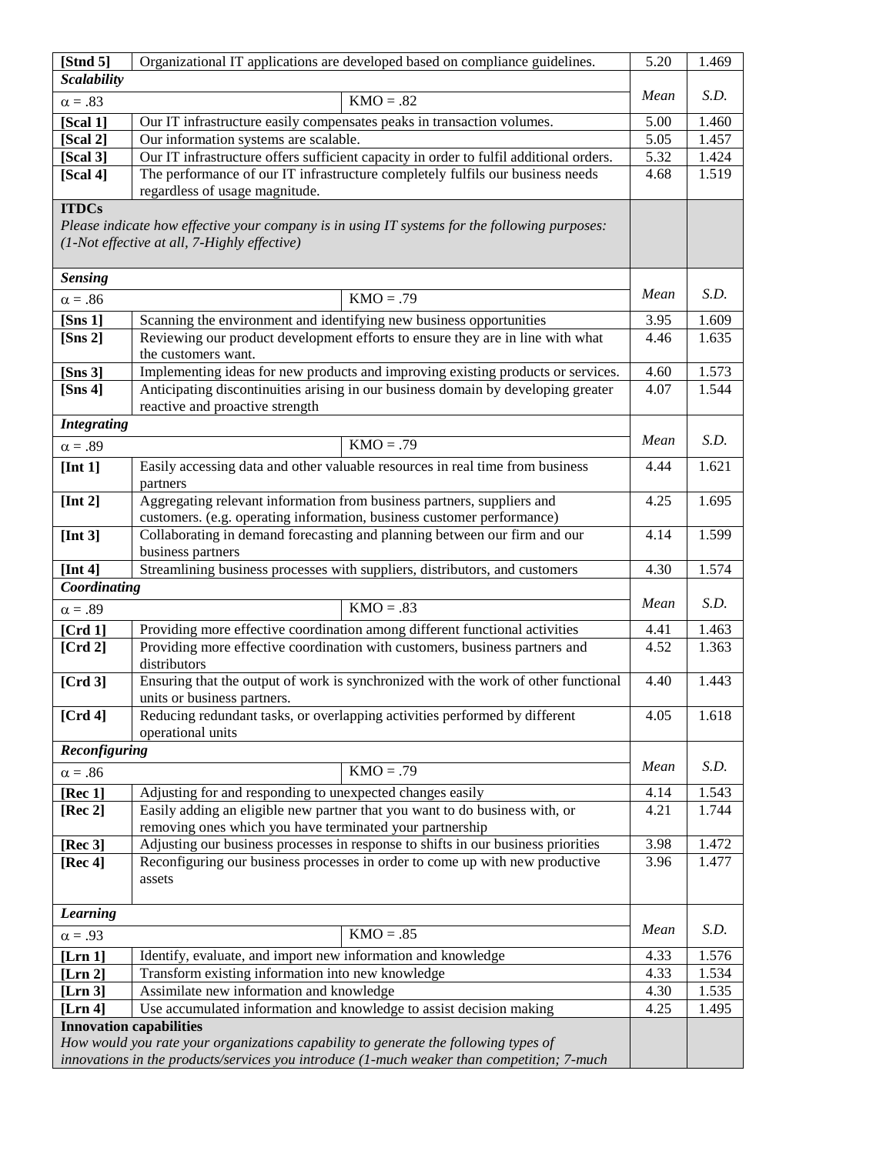| [ <b>Stnd</b> 5]                                                                                                      | Organizational IT applications are developed based on compliance guidelines.                                                            | 5.20         | 1.469          |  |  |
|-----------------------------------------------------------------------------------------------------------------------|-----------------------------------------------------------------------------------------------------------------------------------------|--------------|----------------|--|--|
| <b>Scalability</b>                                                                                                    | Mean                                                                                                                                    | S.D.         |                |  |  |
| $\alpha = .83$                                                                                                        | $KMO = .82$                                                                                                                             |              |                |  |  |
| [Scal 1]                                                                                                              | Our IT infrastructure easily compensates peaks in transaction volumes.                                                                  | 5.00         | 1.460          |  |  |
| [Scal 2]                                                                                                              | Our information systems are scalable.                                                                                                   | 5.05         | 1.457          |  |  |
| [Scal 3]                                                                                                              | Our IT infrastructure offers sufficient capacity in order to fulfil additional orders.                                                  | 5.32<br>4.68 | 1.424<br>1.519 |  |  |
|                                                                                                                       | The performance of our IT infrastructure completely fulfils our business needs<br>[Scal 4]                                              |              |                |  |  |
| <b>ITDCs</b>                                                                                                          | regardless of usage magnitude.                                                                                                          |              |                |  |  |
|                                                                                                                       | Please indicate how effective your company is in using IT systems for the following purposes:                                           |              |                |  |  |
|                                                                                                                       | (1-Not effective at all, 7-Highly effective)                                                                                            |              |                |  |  |
| <b>Sensing</b>                                                                                                        |                                                                                                                                         |              |                |  |  |
| $\alpha = .86$                                                                                                        | $KMO = .79$                                                                                                                             | Mean         | S.D.           |  |  |
| [Sns $1$ ]                                                                                                            | Scanning the environment and identifying new business opportunities                                                                     | 3.95         | 1.609          |  |  |
| [ <b>S</b> ns 2]                                                                                                      | Reviewing our product development efforts to ensure they are in line with what                                                          | 4.46         | 1.635          |  |  |
|                                                                                                                       | the customers want.                                                                                                                     |              |                |  |  |
| [ <b>S</b> ns 3]                                                                                                      | Implementing ideas for new products and improving existing products or services.                                                        | 4.60         | 1.573          |  |  |
| [Sns $4$ ]                                                                                                            | Anticipating discontinuities arising in our business domain by developing greater                                                       | 4.07         | 1.544          |  |  |
| <b>Integrating</b>                                                                                                    | reactive and proactive strength                                                                                                         |              |                |  |  |
| $\alpha = .89$                                                                                                        | $KMO = .79$                                                                                                                             | Mean         | S.D.           |  |  |
|                                                                                                                       |                                                                                                                                         |              |                |  |  |
| [Int $1$ ]                                                                                                            | Easily accessing data and other valuable resources in real time from business<br>partners                                               | 4.44         | 1.621          |  |  |
| [Int $2$ ]                                                                                                            | Aggregating relevant information from business partners, suppliers and                                                                  | 4.25         | 1.695          |  |  |
|                                                                                                                       | customers. (e.g. operating information, business customer performance)                                                                  |              |                |  |  |
| [Int $3$ ]                                                                                                            | Collaborating in demand forecasting and planning between our firm and our                                                               |              |                |  |  |
|                                                                                                                       | business partners<br>Streamlining business processes with suppliers, distributors, and customers                                        |              |                |  |  |
| [Int 4]                                                                                                               | 4.30                                                                                                                                    | 1.574        |                |  |  |
| Coordinating                                                                                                          | Mean                                                                                                                                    | S.D.         |                |  |  |
| $\alpha = .89$                                                                                                        | $KMO = .83$                                                                                                                             |              |                |  |  |
| [ $Crd1$ ]                                                                                                            | Providing more effective coordination among different functional activities                                                             | 4.41<br>4.52 | 1.463<br>1.363 |  |  |
| [Crd 2]                                                                                                               | Providing more effective coordination with customers, business partners and<br>distributors                                             |              |                |  |  |
| [Crd <sub>3</sub> ]                                                                                                   | Ensuring that the output of work is synchronized with the work of other functional                                                      | 4.40         | 1.443          |  |  |
|                                                                                                                       | units or business partners.                                                                                                             |              |                |  |  |
| [Crd 4]                                                                                                               | Reducing redundant tasks, or overlapping activities performed by different                                                              | 4.05         | 1.618          |  |  |
|                                                                                                                       | operational units                                                                                                                       |              |                |  |  |
| Reconfiguring                                                                                                         |                                                                                                                                         | Mean         | S.D.           |  |  |
| $\alpha = .86$                                                                                                        | $KMO = .79$                                                                                                                             |              |                |  |  |
| [ $Rec 1$ ]                                                                                                           | Adjusting for and responding to unexpected changes easily                                                                               |              | 1.543          |  |  |
| [ $Rec 2$ ]                                                                                                           | Easily adding an eligible new partner that you want to do business with, or<br>removing ones which you have terminated your partnership | 4.21         | 1.744          |  |  |
| [Rec $3$ ]                                                                                                            | Adjusting our business processes in response to shifts in our business priorities                                                       | 3.98         | 1.472          |  |  |
| [Rec 4]                                                                                                               | Reconfiguring our business processes in order to come up with new productive                                                            | 3.96         | 1.477          |  |  |
|                                                                                                                       | assets                                                                                                                                  |              |                |  |  |
|                                                                                                                       |                                                                                                                                         |              |                |  |  |
| <b>Learning</b>                                                                                                       |                                                                                                                                         |              |                |  |  |
| $\alpha = .93$                                                                                                        | $KMO = .85$                                                                                                                             | Mean         | S.D.           |  |  |
| [Lrn 1]                                                                                                               | Identify, evaluate, and import new information and knowledge                                                                            |              |                |  |  |
| [Lin 2]                                                                                                               | Transform existing information into new knowledge                                                                                       |              |                |  |  |
| [Lrn 3]                                                                                                               | Assimilate new information and knowledge                                                                                                |              |                |  |  |
| Use accumulated information and knowledge to assist decision making<br>[Lrn 4]                                        |                                                                                                                                         |              | 1.495          |  |  |
| <b>Innovation capabilities</b><br>How would you rate your organizations capability to generate the following types of |                                                                                                                                         |              |                |  |  |
|                                                                                                                       | innovations in the products/services you introduce (1-much weaker than competition; 7-much                                              |              |                |  |  |
|                                                                                                                       |                                                                                                                                         |              |                |  |  |